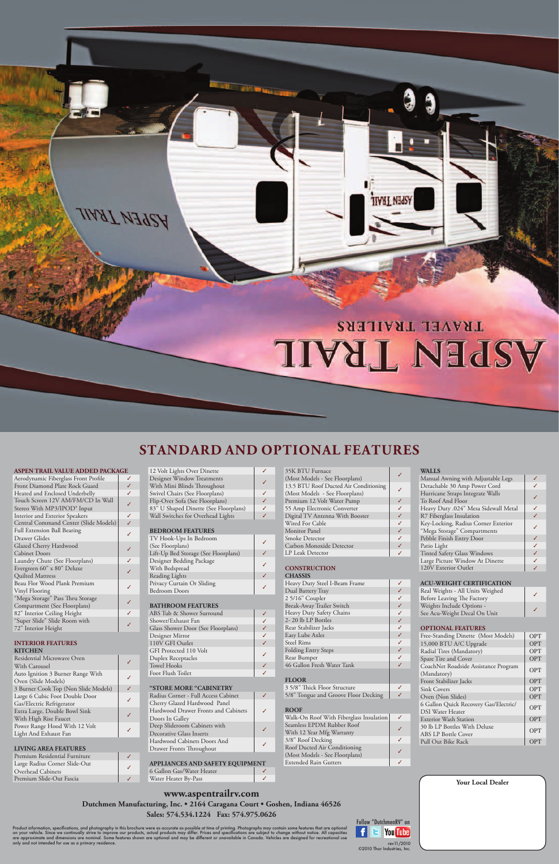### **www.aspentrailrv.com Dutchmen Manufacturing, Inc. • 2164 Caragana Court • Goshen, Indiana 46526 Sales: 574.534.1224 Fax: 574.975.0626**

Product information, specifications, and photography in this brochure were as accurate as possible at time of printing. Photographs may contain some features that are optional<br>are approximate and dimensions are nominal. So

| ∕ | <b>Your Local Dealer</b> |  |
|---|--------------------------|--|
|   |                          |  |
|   |                          |  |
|   |                          |  |
|   |                          |  |



| Aerodynamic Fiberglass Front Profile    |  |
|-----------------------------------------|--|
| Front Diamond Plate Rock Guard          |  |
| Heated and Enclosed Underbelly          |  |
| Touch Screen 12V AM/FM/CD In Wall       |  |
| Stereo With MP3/IPOD <sup>®</sup> Input |  |
| Interior and Exterior Speakers          |  |
| Central Command Center (Slide Models)   |  |
| <b>Full Extension Ball Bearing</b>      |  |
| Drawer Glides                           |  |
| Glazed Cherry Hardwood                  |  |
| <b>Cabinet Doors</b>                    |  |
| Laundry Chute (See Floorplans)          |  |
| Evergreen 60" x 80" Deluxe              |  |
| Quilted Mattress                        |  |
| Beau Flor Wood Plank Premium            |  |
| Vinyl Flooring                          |  |
| "Mega Storage" Pass Thru Storage        |  |
| Compartment (See Floorplans)            |  |
| 82" Interior Ceiling Height             |  |
| "Super Slide" Slide Room with           |  |
| 72" Interior Height                     |  |

| <b>INTERIOR FEATURES</b><br><b>KITCHEN</b> |  |
|--------------------------------------------|--|
| Residential Microwave Oven                 |  |
| With Carousel                              |  |
| Auto Ignition 3 Burner Range With          |  |
| Oven (Slide Models)                        |  |
| 3 Burner Cook Top (Non Slide Models)       |  |
| Large 6 Cubic Foot Double Door             |  |
| Gas/Electric Refrigerator                  |  |
| Extra Large, Double Bowl Sink              |  |
| With High Rise Faucet                      |  |
| Power Range Hood With 12 Volt              |  |
| Light And Exhaust Fan                      |  |
|                                            |  |
| <b>LIVING AREA FEATURES</b>                |  |

| Premium Residential Furniture |  |
|-------------------------------|--|
| Large Radius Corner Slide-Out |  |
| Overhead Cabinets             |  |
| Premium Slide-Out Fascia      |  |

| 12 Volt Lights Over Dinette           |   |
|---------------------------------------|---|
| Designer Window Treatments            |   |
| With Mini Blinds Throughout           |   |
| Swivel Chairs (See Floorplans)        |   |
| Flip-Over Sofa (See Floorplans)       |   |
| 83" U Shaped Dinette (See Floorplans) | J |
| Wall Switches for Overhead Lights     |   |

## **BEDROOM FEATURES**

| TV Hook-Ups In Bedroom               |  |
|--------------------------------------|--|
| (See Floorplans)                     |  |
| Lift-Up Bed Storage (See Floorplans) |  |
| Designer Bedding Package             |  |
| With Bedspread                       |  |
| <b>Reading Lights</b>                |  |
| Privacy Curtain Or Sliding           |  |
| <b>Bedroom Doors</b>                 |  |

#### **BATHROOM FEATURES**

| ABS Tub & Shower Surround          |   |
|------------------------------------|---|
| Shower/Exhaust Fan                 |   |
| Glass Shower Door (See Floorplans) |   |
| Designer Mirror                    |   |
| 110V GFI Outlet                    |   |
| GFI Protected 110 Volt             | ∕ |
| Duplex Receptacles                 |   |
| <b>Towel Hooks</b>                 |   |
| Foot Flush Toilet                  |   |

| "STORE MORE "CABINETRY              |  |
|-------------------------------------|--|
| Radius Corner - Full Access Cabinet |  |
| Cherry Glazed Hardwood Panel        |  |
| Hardwood Drawer Fronts and Cabinets |  |
| Doors In Galley                     |  |
| Deep Slideroom Cabinets with        |  |
| Decorative Glass Inserts            |  |
| Hardwood Cabinets Doors And         |  |
| Drawer Fronts Throughout            |  |
|                                     |  |

| <b>APPLIANCES AND SAFETY EQUIPMENT</b> |  |
|----------------------------------------|--|
| 6 Gallon Gas/Water Heater              |  |
| Water Heater By-Pass                   |  |

| 35K BTU Furnace                       |  |
|---------------------------------------|--|
| (Most Models - See Floorplans)        |  |
| 13.5 BTU Roof Ducted Air Conditioning |  |
| (Most Models - See Floorplans)        |  |
| Premium 12 Volt Water Pump            |  |
| 55 Amp Electronic Converter           |  |
| Digital TV Antenna With Booster       |  |
| Wired For Cable                       |  |
| <b>Monitor</b> Panel                  |  |
| Smoke Detector                        |  |
| Carbon Monoxide Detector              |  |
| LP Leak Detector                      |  |
|                                       |  |
|                                       |  |

#### **CONSTRUCTION**

| <b>CHASSIS</b>                          |              |
|-----------------------------------------|--------------|
| Heavy Duty Steel I-Beam Frame           | ✓            |
| Dual Battery Tray                       | J            |
| 25/16" Coupler                          | ✓            |
| Break-Away Trailer Switch               | $\checkmark$ |
| Heavy Duty Safety Chains                | $\checkmark$ |
| 2-20 lb LP Bottles                      | $\checkmark$ |
| Rear Stabilizer Jacks                   | $\checkmark$ |
| Easy Lube Axles                         | $\checkmark$ |
| <b>Steel Rims</b>                       | ✓            |
| <b>Folding Entry Steps</b>              | $\checkmark$ |
| Rear Bumper                             | ✓            |
| 46 Gallon Fresh Water Tank              | J            |
|                                         |              |
| <b>FLOOR</b>                            |              |
| 3 5/8" Thick Floor Structure            | ✓            |
| 5/8" Tongue and Groove Floor Decking    | J            |
|                                         |              |
| <b>ROOF</b>                             |              |
| Walk-On Roof With Fiberglass Insulation | ✓            |
| Seamless EPDM Rubber Roof               | ✓            |
| With 12 Year Mfg Warranty               |              |
| 3/8" Roof Decking                       | ✓            |
| Roof Ducted Air Conditioning            | ✓            |
| (Most Models - See Floorplans)          |              |
| <b>Extended Rain Gutters</b>            | ✓            |

#### **WALLS**

| Manual Awning with Adjustable Legs   |  |
|--------------------------------------|--|
| Detachable 30 Amp Power Cord         |  |
| Hurricane Straps Integrate Walls     |  |
| To Roof And Floor                    |  |
| Heavy Duty .024" Mesa Sidewall Metal |  |
| R7 Fiberglass Insulation             |  |
| Key-Locking, Radius Corner Exterior  |  |
| "Mega Storage" Compartments          |  |
| Pebble Finish Entry Door             |  |
| Patio Light                          |  |
| <b>Tinted Safety Glass Windows</b>   |  |
| Large Picture Window At Dinette      |  |
| 120V Exterior Outlet                 |  |
|                                      |  |

#### **ACU-WEIGHT CERTIFICATION**

| Real Weights - All Units Weighed<br>Before Leaving The Factory |  |
|----------------------------------------------------------------|--|
| Weights Include Options -                                      |  |
| See Acu-Weight Decal On Unit                                   |  |

#### **OPTIONAL FEATURES**

| Free-Standing Dinette (Most Models)                              | OPT        |  |  |  |  |  |
|------------------------------------------------------------------|------------|--|--|--|--|--|
| 15,000 BTU A/C Upgrade                                           | OPT        |  |  |  |  |  |
| Radial Tires (Mandatory)                                         | OPT        |  |  |  |  |  |
| Spare Tire and Cover                                             |            |  |  |  |  |  |
| CoachNet Roadside Assistance Program<br>(Mandatory)              | OPT        |  |  |  |  |  |
| Front Stabilizer Jacks                                           | <b>OPT</b> |  |  |  |  |  |
| <b>Sink Covers</b>                                               | OPT        |  |  |  |  |  |
| Oven (Non Slides)                                                | OPT        |  |  |  |  |  |
| 6 Gallon Quick Recovery Gas/Electric/<br><b>DSI</b> Water Heater |            |  |  |  |  |  |
| <b>Exterior Wash Station</b>                                     | OPT        |  |  |  |  |  |
| 30 lb LP Bottles With Deluxe<br><b>ABS LP Bottle Cover</b>       | OPT        |  |  |  |  |  |
| Pull Out Bike Rack                                               |            |  |  |  |  |  |
|                                                                  |            |  |  |  |  |  |



# **Standard and optional features**

#### **ASPEN TRAIL VALUE ADDED PACKAGE**

**TIAAT VAARA**